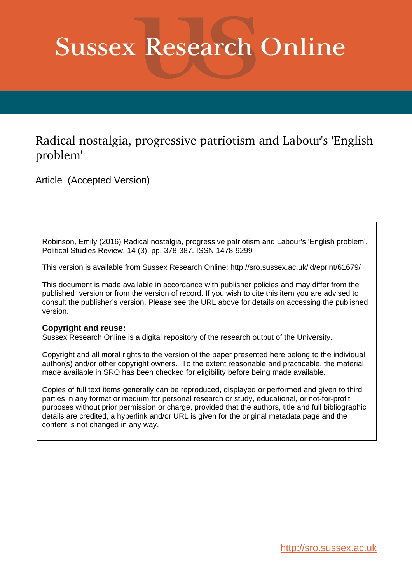# **Sussex Research Online**

# Radical nostalgia, progressive patriotism and Labour's 'English problem'

Article (Accepted Version)

Robinson, Emily (2016) Radical nostalgia, progressive patriotism and Labour's 'English problem'. Political Studies Review, 14 (3). pp. 378-387. ISSN 1478-9299

This version is available from Sussex Research Online: http://sro.sussex.ac.uk/id/eprint/61679/

This document is made available in accordance with publisher policies and may differ from the published version or from the version of record. If you wish to cite this item you are advised to consult the publisher's version. Please see the URL above for details on accessing the published version.

# **Copyright and reuse:**

Sussex Research Online is a digital repository of the research output of the University.

Copyright and all moral rights to the version of the paper presented here belong to the individual author(s) and/or other copyright owners. To the extent reasonable and practicable, the material made available in SRO has been checked for eligibility before being made available.

Copies of full text items generally can be reproduced, displayed or performed and given to third parties in any format or medium for personal research or study, educational, or not-for-profit purposes without prior permission or charge, provided that the authors, title and full bibliographic details are credited, a hyperlink and/or URL is given for the original metadata page and the content is not changed in any way.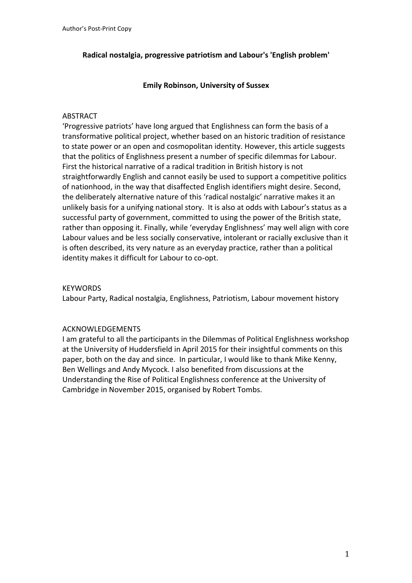# **Radical nostalgia, progressive patriotism and Labour's 'English problem'**

# **Emily Robinson, University of Sussex**

# ABSTRACT

'Progressive patriots' have long argued that Englishness can form the basis of a transformative political project, whether based on an historic tradition of resistance to state power or an open and cosmopolitan identity. However, this article suggests that the politics of Englishness present a number of specific dilemmas for Labour. First the historical narrative of a radical tradition in British history is not straightforwardly English and cannot easily be used to support a competitive politics of nationhood, in the way that disaffected English identifiers might desire. Second, the deliberately alternative nature of this 'radical nostalgic' narrative makes it an unlikely basis for a unifying national story. It is also at odds with Labour's status as a successful party of government, committed to using the power of the British state, rather than opposing it. Finally, while 'everyday Englishness' may well align with core Labour values and be less socially conservative, intolerant or racially exclusive than it is often described, its very nature as an everyday practice, rather than a political identity makes it difficult for Labour to co-opt.

# **KEYWORDS**

Labour Party, Radical nostalgia, Englishness, Patriotism, Labour movement history

### ACKNOWLEDGEMENTS

I am grateful to all the participants in the Dilemmas of Political Englishness workshop at the University of Huddersfield in April 2015 for their insightful comments on this paper, both on the day and since. In particular, I would like to thank Mike Kenny, Ben Wellings and Andy Mycock. I also benefited from discussions at the Understanding the Rise of Political Englishness conference at the University of Cambridge in November 2015, organised by Robert Tombs.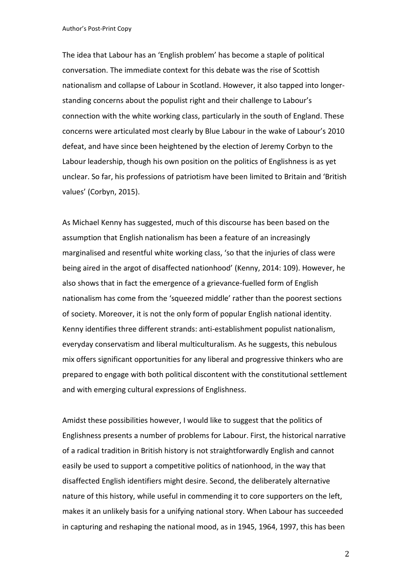The idea that Labour has an 'English problem' has become a staple of political conversation. The immediate context for this debate was the rise of Scottish nationalism and collapse of Labour in Scotland. However, it also tapped into longerstanding concerns about the populist right and their challenge to Labour's connection with the white working class, particularly in the south of England. These concerns were articulated most clearly by Blue Labour in the wake of Labour's 2010 defeat, and have since been heightened by the election of Jeremy Corbyn to the Labour leadership, though his own position on the politics of Englishness is as yet unclear. So far, his professions of patriotism have been limited to Britain and 'British values' (Corbyn, 2015).

As Michael Kenny has suggested, much of this discourse has been based on the assumption that English nationalism has been a feature of an increasingly marginalised and resentful white working class, 'so that the injuries of class were being aired in the argot of disaffected nationhood' (Kenny, 2014: 109). However, he also shows that in fact the emergence of a grievance-fuelled form of English nationalism has come from the 'squeezed middle' rather than the poorest sections of society. Moreover, it is not the only form of popular English national identity. Kenny identifies three different strands: anti-establishment populist nationalism, everyday conservatism and liberal multiculturalism. As he suggests, this nebulous mix offers significant opportunities for any liberal and progressive thinkers who are prepared to engage with both political discontent with the constitutional settlement and with emerging cultural expressions of Englishness.

Amidst these possibilities however, I would like to suggest that the politics of Englishness presents a number of problems for Labour. First, the historical narrative of a radical tradition in British history is not straightforwardly English and cannot easily be used to support a competitive politics of nationhood, in the way that disaffected English identifiers might desire. Second, the deliberately alternative nature of this history, while useful in commending it to core supporters on the left, makes it an unlikely basis for a unifying national story. When Labour has succeeded in capturing and reshaping the national mood, as in 1945, 1964, 1997, this has been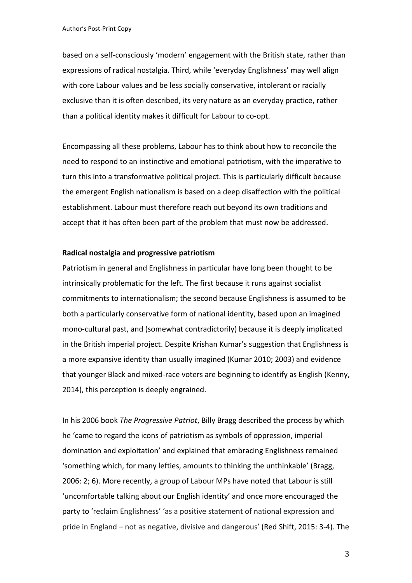based on a self-consciously 'modern' engagement with the British state, rather than expressions of radical nostalgia. Third, while 'everyday Englishness' may well align with core Labour values and be less socially conservative, intolerant or racially exclusive than it is often described, its very nature as an everyday practice, rather than a political identity makes it difficult for Labour to co-opt.

Encompassing all these problems, Labour has to think about how to reconcile the need to respond to an instinctive and emotional patriotism, with the imperative to turn this into a transformative political project. This is particularly difficult because the emergent English nationalism is based on a deep disaffection with the political establishment. Labour must therefore reach out beyond its own traditions and accept that it has often been part of the problem that must now be addressed.

#### **Radical nostalgia and progressive patriotism**

Patriotism in general and Englishness in particular have long been thought to be intrinsically problematic for the left. The first because it runs against socialist commitments to internationalism; the second because Englishness is assumed to be both a particularly conservative form of national identity, based upon an imagined mono-cultural past, and (somewhat contradictorily) because it is deeply implicated in the British imperial project. Despite Krishan Kumar's suggestion that Englishness is a more expansive identity than usually imagined (Kumar 2010; 2003) and evidence that younger Black and mixed-race voters are beginning to identify as English (Kenny, 2014), this perception is deeply engrained.

In his 2006 book *The Progressive Patriot*, Billy Bragg described the process by which he 'came to regard the icons of patriotism as symbols of oppression, imperial domination and exploitation' and explained that embracing Englishness remained 'something which, for many lefties, amounts to thinking the unthinkable' (Bragg, 2006: 2; 6). More recently, a group of Labour MPs have noted that Labour is still 'uncomfortable talking about our English identity' and once more encouraged the party to 'reclaim Englishness' 'as a positive statement of national expression and pride in England – not as negative, divisive and dangerous' (Red Shift, 2015: 3-4). The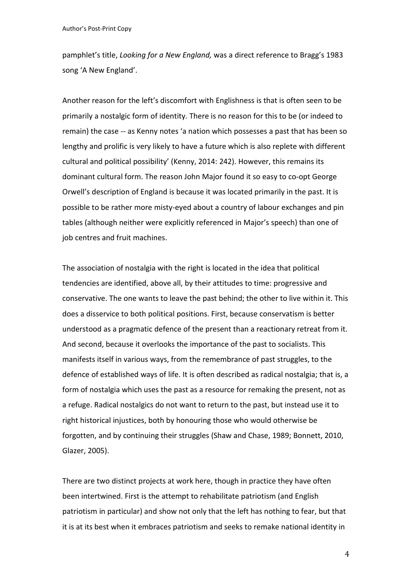pamphlet's title, *Looking for a New England,* was a direct reference to Bragg's 1983 song 'A New England'.

Another reason for the left's discomfort with Englishness is that is often seen to be primarily a nostalgic form of identity. There is no reason for this to be (or indeed to remain) the case -- as Kenny notes 'a nation which possesses a past that has been so lengthy and prolific is very likely to have a future which is also replete with different cultural and political possibility' (Kenny, 2014: 242). However, this remains its dominant cultural form. The reason John Major found it so easy to co-opt George Orwell's description of England is because it was located primarily in the past. It is possible to be rather more misty-eyed about a country of labour exchanges and pin tables (although neither were explicitly referenced in Major's speech) than one of job centres and fruit machines.

The association of nostalgia with the right is located in the idea that political tendencies are identified, above all, by their attitudes to time: progressive and conservative. The one wants to leave the past behind; the other to live within it. This does a disservice to both political positions. First, because conservatism is better understood as a pragmatic defence of the present than a reactionary retreat from it. And second, because it overlooks the importance of the past to socialists. This manifests itself in various ways, from the remembrance of past struggles, to the defence of established ways of life. It is often described as radical nostalgia; that is, a form of nostalgia which uses the past as a resource for remaking the present, not as a refuge. Radical nostalgics do not want to return to the past, but instead use it to right historical injustices, both by honouring those who would otherwise be forgotten, and by continuing their struggles (Shaw and Chase, 1989; Bonnett, 2010, Glazer, 2005).

There are two distinct projects at work here, though in practice they have often been intertwined. First is the attempt to rehabilitate patriotism (and English patriotism in particular) and show not only that the left has nothing to fear, but that it is at its best when it embraces patriotism and seeks to remake national identity in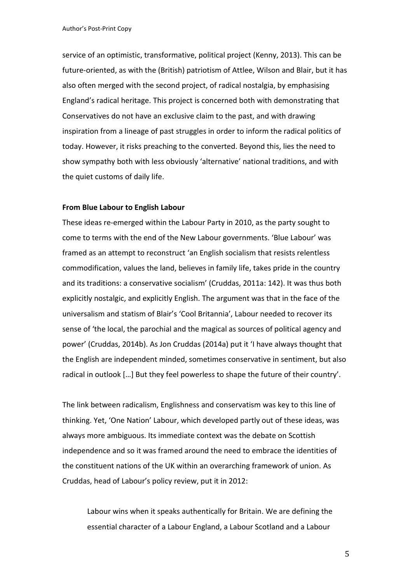service of an optimistic, transformative, political project (Kenny, 2013). This can be future-oriented, as with the (British) patriotism of Attlee, Wilson and Blair, but it has also often merged with the second project, of radical nostalgia, by emphasising England's radical heritage. This project is concerned both with demonstrating that Conservatives do not have an exclusive claim to the past, and with drawing inspiration from a lineage of past struggles in order to inform the radical politics of today. However, it risks preaching to the converted. Beyond this, lies the need to show sympathy both with less obviously 'alternative' national traditions, and with the quiet customs of daily life.

#### **From Blue Labour to English Labour**

These ideas re-emerged within the Labour Party in 2010, as the party sought to come to terms with the end of the New Labour governments. 'Blue Labour' was framed as an attempt to reconstruct 'an English socialism that resists relentless commodification, values the land, believes in family life, takes pride in the country and its traditions: a conservative socialism' (Cruddas, 2011a: 142). It was thus both explicitly nostalgic, and explicitly English. The argument was that in the face of the universalism and statism of Blair's 'Cool Britannia', Labour needed to recover its sense of 'the local, the parochial and the magical as sources of political agency and power' (Cruddas, 2014b). As Jon Cruddas (2014a) put it 'I have always thought that the English are independent minded, sometimes conservative in sentiment, but also radical in outlook […] But they feel powerless to shape the future of their country'.

The link between radicalism, Englishness and conservatism was key to this line of thinking. Yet, 'One Nation' Labour, which developed partly out of these ideas, was always more ambiguous. Its immediate context was the debate on Scottish independence and so it was framed around the need to embrace the identities of the constituent nations of the UK within an overarching framework of union. As Cruddas, head of Labour's policy review, put it in 2012:

Labour wins when it speaks authentically for Britain. We are defining the essential character of a Labour England, a Labour Scotland and a Labour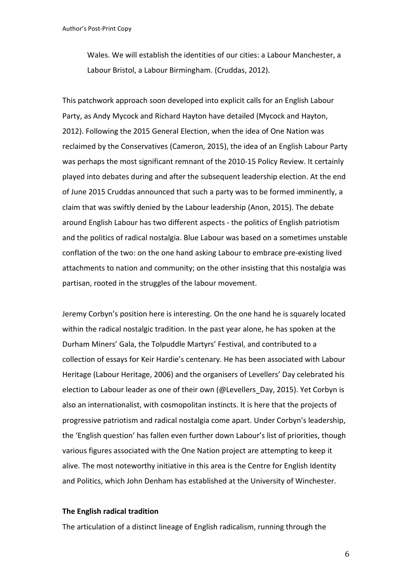Wales. We will establish the identities of our cities: a Labour Manchester, a Labour Bristol, a Labour Birmingham. (Cruddas, 2012).

This patchwork approach soon developed into explicit calls for an English Labour Party, as Andy Mycock and Richard Hayton have detailed (Mycock and Hayton, 2012). Following the 2015 General Election, when the idea of One Nation was reclaimed by the Conservatives (Cameron, 2015), the idea of an English Labour Party was perhaps the most significant remnant of the 2010-15 Policy Review. It certainly played into debates during and after the subsequent leadership election. At the end of June 2015 Cruddas announced that such a party was to be formed imminently, a claim that was swiftly denied by the Labour leadership (Anon, 2015). The debate around English Labour has two different aspects - the politics of English patriotism and the politics of radical nostalgia. Blue Labour was based on a sometimes unstable conflation of the two: on the one hand asking Labour to embrace pre-existing lived attachments to nation and community; on the other insisting that this nostalgia was partisan, rooted in the struggles of the labour movement.

Jeremy Corbyn's position here is interesting. On the one hand he is squarely located within the radical nostalgic tradition. In the past year alone, he has spoken at the Durham Miners' Gala, the Tolpuddle Martyrs' Festival, and contributed to a collection of essays for Keir Hardie's centenary. He has been associated with Labour Heritage (Labour Heritage, 2006) and the organisers of Levellers' Day celebrated his election to Labour leader as one of their own (@Levellers\_Day, 2015). Yet Corbyn is also an internationalist, with cosmopolitan instincts. It is here that the projects of progressive patriotism and radical nostalgia come apart. Under Corbyn's leadership, the 'English question' has fallen even further down Labour's list of priorities, though various figures associated with the One Nation project are attempting to keep it alive. The most noteworthy initiative in this area is the Centre for English Identity and Politics, which John Denham has established at the University of Winchester.

#### **The English radical tradition**

The articulation of a distinct lineage of English radicalism, running through the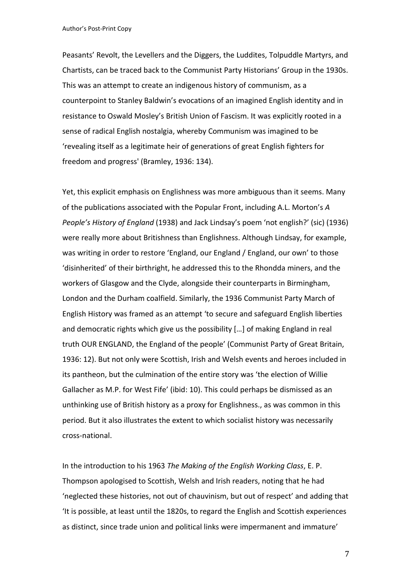Peasants' Revolt, the Levellers and the Diggers, the Luddites, Tolpuddle Martyrs, and Chartists, can be traced back to the Communist Party Historians' Group in the 1930s. This was an attempt to create an indigenous history of communism, as a counterpoint to Stanley Baldwin's evocations of an imagined English identity and in resistance to Oswald Mosley's British Union of Fascism. It was explicitly rooted in a sense of radical English nostalgia, whereby Communism was imagined to be 'revealing itself as a legitimate heir of generations of great English fighters for freedom and progress' (Bramley, 1936: 134).

Yet, this explicit emphasis on Englishness was more ambiguous than it seems. Many of the publications associated with the Popular Front, including A.L. Morton's *A People's History of England* (1938) and Jack Lindsay's poem 'not english?' (sic) (1936) were really more about Britishness than Englishness. Although Lindsay, for example, was writing in order to restore 'England, our England / England, our own' to those 'disinherited' of their birthright, he addressed this to the Rhondda miners, and the workers of Glasgow and the Clyde, alongside their counterparts in Birmingham, London and the Durham coalfield. Similarly, the 1936 Communist Party March of English History was framed as an attempt 'to secure and safeguard English liberties and democratic rights which give us the possibility […] of making England in real truth OUR ENGLAND, the England of the people' (Communist Party of Great Britain, 1936: 12). But not only were Scottish, Irish and Welsh events and heroes included in its pantheon, but the culmination of the entire story was 'the election of Willie Gallacher as M.P. for West Fife' (ibid: 10). This could perhaps be dismissed as an unthinking use of British history as a proxy for Englishness., as was common in this period. But it also illustrates the extent to which socialist history was necessarily cross-national.

In the introduction to his 1963 *The Making of the English Working Class*, E. P. Thompson apologised to Scottish, Welsh and Irish readers, noting that he had 'neglected these histories, not out of chauvinism, but out of respect' and adding that 'It is possible, at least until the 1820s, to regard the English and Scottish experiences as distinct, since trade union and political links were impermanent and immature'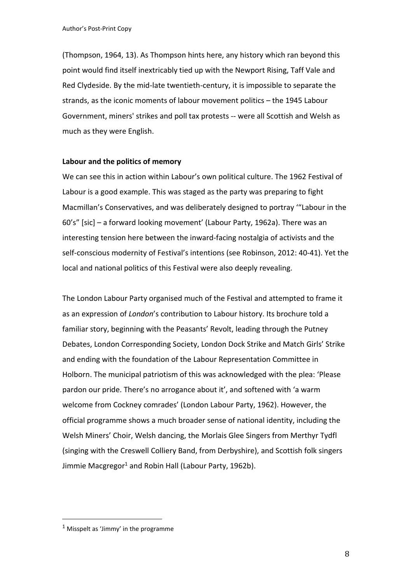(Thompson, 1964, 13). As Thompson hints here, any history which ran beyond this point would find itself inextricably tied up with the Newport Rising, Taff Vale and Red Clydeside. By the mid-late twentieth-century, it is impossible to separate the strands, as the iconic moments of labour movement politics – the 1945 Labour Government, miners' strikes and poll tax protests -- were all Scottish and Welsh as much as they were English.

#### **Labour and the politics of memory**

We can see this in action within Labour's own political culture. The 1962 Festival of Labour is a good example. This was staged as the party was preparing to fight Macmillan's Conservatives, and was deliberately designed to portray '"Labour in the 60's" [sic] – a forward looking movement' (Labour Party, 1962a). There was an interesting tension here between the inward-facing nostalgia of activists and the self-conscious modernity of Festival's intentions (see Robinson, 2012: 40-41). Yet the local and national politics of this Festival were also deeply revealing.

The London Labour Party organised much of the Festival and attempted to frame it as an expression of *London*'s contribution to Labour history. Its brochure told a familiar story, beginning with the Peasants' Revolt, leading through the Putney Debates, London Corresponding Society, London Dock Strike and Match Girls' Strike and ending with the foundation of the Labour Representation Committee in Holborn. The municipal patriotism of this was acknowledged with the plea: 'Please pardon our pride. There's no arrogance about it', and softened with 'a warm welcome from Cockney comrades' (London Labour Party, 1962). However, the official programme shows a much broader sense of national identity, including the Welsh Miners' Choir, Welsh dancing, the Morlais Glee Singers from Merthyr Tydfl (singing with the Creswell Colliery Band, from Derbyshire), and Scottish folk singers Jimmie Macgregor<sup>1</sup> and Robin Hall (Labour Party, 1962b).

 $\overline{a}$ 

 $<sup>1</sup>$  Misspelt as 'Jimmy' in the programme</sup>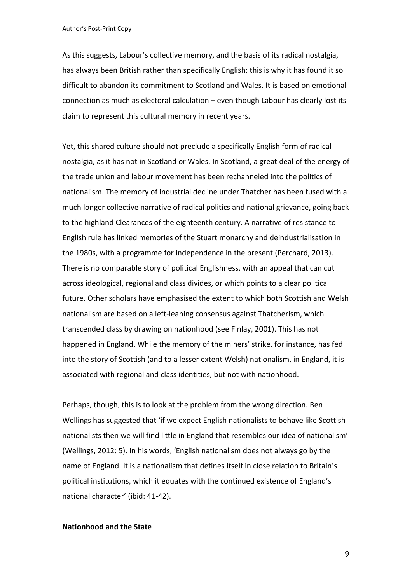As this suggests, Labour's collective memory, and the basis of its radical nostalgia, has always been British rather than specifically English; this is why it has found it so difficult to abandon its commitment to Scotland and Wales. It is based on emotional connection as much as electoral calculation – even though Labour has clearly lost its claim to represent this cultural memory in recent years.

Yet, this shared culture should not preclude a specifically English form of radical nostalgia, as it has not in Scotland or Wales. In Scotland, a great deal of the energy of the trade union and labour movement has been rechanneled into the politics of nationalism. The memory of industrial decline under Thatcher has been fused with a much longer collective narrative of radical politics and national grievance, going back to the highland Clearances of the eighteenth century. A narrative of resistance to English rule has linked memories of the Stuart monarchy and deindustrialisation in the 1980s, with a programme for independence in the present (Perchard, 2013). There is no comparable story of political Englishness, with an appeal that can cut across ideological, regional and class divides, or which points to a clear political future. Other scholars have emphasised the extent to which both Scottish and Welsh nationalism are based on a left-leaning consensus against Thatcherism, which transcended class by drawing on nationhood (see Finlay, 2001). This has not happened in England. While the memory of the miners' strike, for instance, has fed into the story of Scottish (and to a lesser extent Welsh) nationalism, in England, it is associated with regional and class identities, but not with nationhood.

Perhaps, though, this is to look at the problem from the wrong direction. Ben Wellings has suggested that 'if we expect English nationalists to behave like Scottish nationalists then we will find little in England that resembles our idea of nationalism' (Wellings, 2012: 5). In his words, 'English nationalism does not always go by the name of England. It is a nationalism that defines itself in close relation to Britain's political institutions, which it equates with the continued existence of England's national character' (ibid: 41-42).

#### **Nationhood and the State**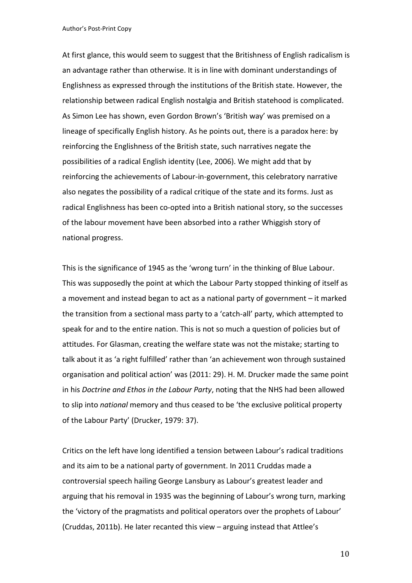At first glance, this would seem to suggest that the Britishness of English radicalism is an advantage rather than otherwise. It is in line with dominant understandings of Englishness as expressed through the institutions of the British state. However, the relationship between radical English nostalgia and British statehood is complicated. As Simon Lee has shown, even Gordon Brown's 'British way' was premised on a lineage of specifically English history. As he points out, there is a paradox here: by reinforcing the Englishness of the British state, such narratives negate the possibilities of a radical English identity (Lee, 2006). We might add that by reinforcing the achievements of Labour-in-government, this celebratory narrative also negates the possibility of a radical critique of the state and its forms. Just as radical Englishness has been co-opted into a British national story, so the successes of the labour movement have been absorbed into a rather Whiggish story of national progress.

This is the significance of 1945 as the 'wrong turn' in the thinking of Blue Labour. This was supposedly the point at which the Labour Party stopped thinking of itself as a movement and instead began to act as a national party of government – it marked the transition from a sectional mass party to a 'catch-all' party, which attempted to speak for and to the entire nation. This is not so much a question of policies but of attitudes. For Glasman, creating the welfare state was not the mistake; starting to talk about it as 'a right fulfilled' rather than 'an achievement won through sustained organisation and political action' was (2011: 29). H. M. Drucker made the same point in his *Doctrine and Ethos in the Labour Party*, noting that the NHS had been allowed to slip into *national* memory and thus ceased to be 'the exclusive political property of the Labour Party' (Drucker, 1979: 37).

Critics on the left have long identified a tension between Labour's radical traditions and its aim to be a national party of government. In 2011 Cruddas made a controversial speech hailing George Lansbury as Labour's greatest leader and arguing that his removal in 1935 was the beginning of Labour's wrong turn, marking the 'victory of the pragmatists and political operators over the prophets of Labour' (Cruddas, 2011b). He later recanted this view – arguing instead that Attlee's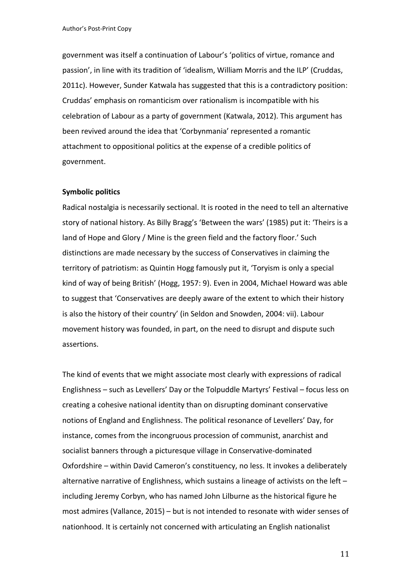government was itself a continuation of Labour's 'politics of virtue, romance and passion', in line with its tradition of 'idealism, William Morris and the ILP' (Cruddas, 2011c). However, Sunder Katwala has suggested that this is a contradictory position: Cruddas' emphasis on romanticism over rationalism is incompatible with his celebration of Labour as a party of government (Katwala, 2012). This argument has been revived around the idea that 'Corbynmania' represented a romantic attachment to oppositional politics at the expense of a credible politics of government.

#### **Symbolic politics**

Radical nostalgia is necessarily sectional. It is rooted in the need to tell an alternative story of national history. As Billy Bragg's 'Between the wars' (1985) put it: 'Theirs is a land of Hope and Glory / Mine is the green field and the factory floor.' Such distinctions are made necessary by the success of Conservatives in claiming the territory of patriotism: as Quintin Hogg famously put it, 'Toryism is only a special kind of way of being British' (Hogg, 1957: 9). Even in 2004, Michael Howard was able to suggest that 'Conservatives are deeply aware of the extent to which their history is also the history of their country' (in Seldon and Snowden, 2004: vii). Labour movement history was founded, in part, on the need to disrupt and dispute such assertions.

The kind of events that we might associate most clearly with expressions of radical Englishness – such as Levellers' Day or the Tolpuddle Martyrs' Festival – focus less on creating a cohesive national identity than on disrupting dominant conservative notions of England and Englishness. The political resonance of Levellers' Day, for instance, comes from the incongruous procession of communist, anarchist and socialist banners through a picturesque village in Conservative-dominated Oxfordshire – within David Cameron's constituency, no less. It invokes a deliberately alternative narrative of Englishness, which sustains a lineage of activists on the left – including Jeremy Corbyn, who has named John Lilburne as the historical figure he most admires (Vallance, 2015) – but is not intended to resonate with wider senses of nationhood. It is certainly not concerned with articulating an English nationalist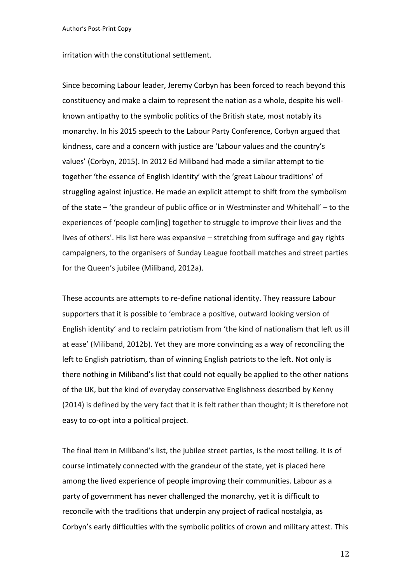irritation with the constitutional settlement.

Since becoming Labour leader, Jeremy Corbyn has been forced to reach beyond this constituency and make a claim to represent the nation as a whole, despite his wellknown antipathy to the symbolic politics of the British state, most notably its monarchy. In his 2015 speech to the Labour Party Conference, Corbyn argued that kindness, care and a concern with justice are 'Labour values and the country's values' (Corbyn, 2015). In 2012 Ed Miliband had made a similar attempt to tie together 'the essence of English identity' with the 'great Labour traditions' of struggling against injustice. He made an explicit attempt to shift from the symbolism of the state – 'the grandeur of public office or in Westminster and Whitehall' – to the experiences of 'people com[ing] together to struggle to improve their lives and the lives of others'. His list here was expansive – stretching from suffrage and gay rights campaigners, to the organisers of Sunday League football matches and street parties for the Queen's jubilee (Miliband, 2012a).

These accounts are attempts to re-define national identity. They reassure Labour supporters that it is possible to 'embrace a positive, outward looking version of English identity' and to reclaim patriotism from 'the kind of nationalism that left us ill at ease' (Miliband, 2012b). Yet they are more convincing as a way of reconciling the left to English patriotism, than of winning English patriots to the left. Not only is there nothing in Miliband's list that could not equally be applied to the other nations of the UK, but the kind of everyday conservative Englishness described by Kenny (2014) is defined by the very fact that it is felt rather than thought; it is therefore not easy to co-opt into a political project.

The final item in Miliband's list, the jubilee street parties, is the most telling. It is of course intimately connected with the grandeur of the state, yet is placed here among the lived experience of people improving their communities. Labour as a party of government has never challenged the monarchy, yet it is difficult to reconcile with the traditions that underpin any project of radical nostalgia, as Corbyn's early difficulties with the symbolic politics of crown and military attest. This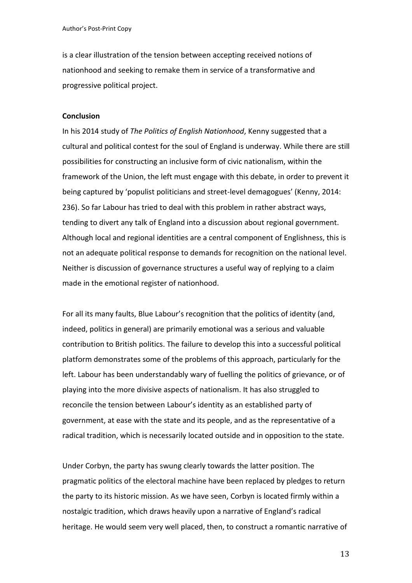is a clear illustration of the tension between accepting received notions of nationhood and seeking to remake them in service of a transformative and progressive political project.

#### **Conclusion**

In his 2014 study of *The Politics of English Nationhood*, Kenny suggested that a cultural and political contest for the soul of England is underway. While there are still possibilities for constructing an inclusive form of civic nationalism, within the framework of the Union, the left must engage with this debate, in order to prevent it being captured by 'populist politicians and street-level demagogues' (Kenny, 2014: 236). So far Labour has tried to deal with this problem in rather abstract ways, tending to divert any talk of England into a discussion about regional government. Although local and regional identities are a central component of Englishness, this is not an adequate political response to demands for recognition on the national level. Neither is discussion of governance structures a useful way of replying to a claim made in the emotional register of nationhood.

For all its many faults, Blue Labour's recognition that the politics of identity (and, indeed, politics in general) are primarily emotional was a serious and valuable contribution to British politics. The failure to develop this into a successful political platform demonstrates some of the problems of this approach, particularly for the left. Labour has been understandably wary of fuelling the politics of grievance, or of playing into the more divisive aspects of nationalism. It has also struggled to reconcile the tension between Labour's identity as an established party of government, at ease with the state and its people, and as the representative of a radical tradition, which is necessarily located outside and in opposition to the state.

Under Corbyn, the party has swung clearly towards the latter position. The pragmatic politics of the electoral machine have been replaced by pledges to return the party to its historic mission. As we have seen, Corbyn is located firmly within a nostalgic tradition, which draws heavily upon a narrative of England's radical heritage. He would seem very well placed, then, to construct a romantic narrative of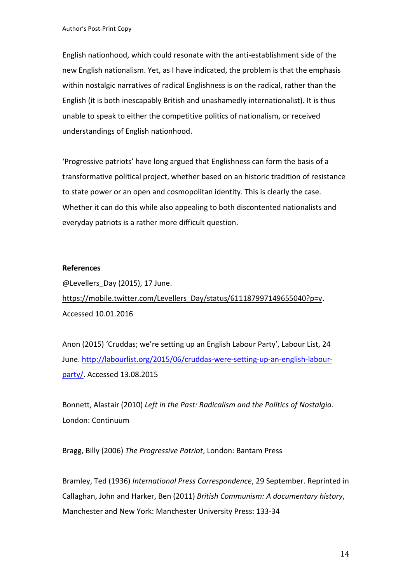English nationhood, which could resonate with the anti-establishment side of the new English nationalism. Yet, as I have indicated, the problem is that the emphasis within nostalgic narratives of radical Englishness is on the radical, rather than the English (it is both inescapably British and unashamedly internationalist). It is thus unable to speak to either the competitive politics of nationalism, or received understandings of English nationhood.

'Progressive patriots' have long argued that Englishness can form the basis of a transformative political project, whether based on an historic tradition of resistance to state power or an open and cosmopolitan identity. This is clearly the case. Whether it can do this while also appealing to both discontented nationalists and everyday patriots is a rather more difficult question.

#### **References**

@Levellers\_Day (2015), 17 June. [https://mobile.twitter.com/Levellers\\_Day/status/611187997149655040?p=v.](https://mobile.twitter.com/Levellers_Day/status/611187997149655040?p=v) Accessed 10.01.2016

Anon (2015) 'Cruddas; we're setting up an English Labour Party', Labour List, 24 June. [http://labourlist.org/2015/06/cruddas-were-setting-up-an-english-labour](http://labourlist.org/2015/06/cruddas-were-setting-up-an-english-labour-party/)[party/.](http://labourlist.org/2015/06/cruddas-were-setting-up-an-english-labour-party/) Accessed 13.08.2015

Bonnett, Alastair (2010) *Left in the Past: Radicalism and the Politics of Nostalgia*. London: Continuum

Bragg, Billy (2006) *The Progressive Patriot*, London: Bantam Press

Bramley, Ted (1936) *International Press Correspondence*, 29 September. Reprinted in Callaghan, John and Harker, Ben (2011) *British Communism: A documentary history*, Manchester and New York: Manchester University Press: 133-34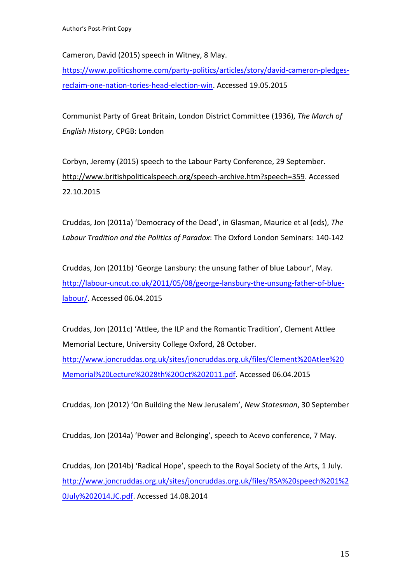Cameron, David (2015) speech in Witney, 8 May.

[https://www.politicshome.com/party-politics/articles/story/david-cameron-pledges](https://www.politicshome.com/party-politics/articles/story/david-cameron-pledges-reclaim-one-nation-tories-head-election-win)[reclaim-one-nation-tories-head-election-win.](https://www.politicshome.com/party-politics/articles/story/david-cameron-pledges-reclaim-one-nation-tories-head-election-win) Accessed 19.05.2015

Communist Party of Great Britain, London District Committee (1936), *The March of English History*, CPGB: London

Corbyn, Jeremy (2015) speech to the Labour Party Conference, 29 September. [http://www.britishpoliticalspeech.org/speech-archive.htm?speech=359.](http://www.britishpoliticalspeech.org/speech-archive.htm?speech=359) Accessed 22.10.2015

Cruddas, Jon (2011a) 'Democracy of the Dead', in Glasman, Maurice et al (eds), *The Labour Tradition and the Politics of Paradox*: The Oxford London Seminars: 140-142

Cruddas, Jon (2011b) 'George Lansbury: the unsung father of blue Labour', May. [http://labour-uncut.co.uk/2011/05/08/george-lansbury-the-unsung-father-of-blue](http://labour-uncut.co.uk/2011/05/08/george-lansbury-the-unsung-father-of-blue-labour/)[labour/.](http://labour-uncut.co.uk/2011/05/08/george-lansbury-the-unsung-father-of-blue-labour/) Accessed 06.04.2015

Cruddas, Jon (2011c) 'Attlee, the ILP and the Romantic Tradition', Clement Attlee Memorial Lecture, University College Oxford, 28 October. [http://www.joncruddas.org.uk/sites/joncruddas.org.uk/files/Clement%20Atlee%20](http://www.joncruddas.org.uk/sites/joncruddas.org.uk/files/Clement%252520Atlee%252520Memorial%252520Lecture%25252028th%252520Oct%2525202011.pdf) [Memorial%20Lecture%2028th%20Oct%202011.pdf.](http://www.joncruddas.org.uk/sites/joncruddas.org.uk/files/Clement%252520Atlee%252520Memorial%252520Lecture%25252028th%252520Oct%2525202011.pdf) Accessed 06.04.2015

Cruddas, Jon (2012) 'On Building the New Jerusalem', *New Statesman*, 30 September

Cruddas, Jon (2014a) 'Power and Belonging', speech to Acevo conference, 7 May.

Cruddas, Jon (2014b) 'Radical Hope', speech to the Royal Society of the Arts, 1 July. [http://www.joncruddas.org.uk/sites/joncruddas.org.uk/files/RSA%20speech%201%2](http://www.joncruddas.org.uk/sites/joncruddas.org.uk/files/RSA%252520speech%2525201%252520July%2525202014.JC.pdf) [0July%202014.JC.pdf.](http://www.joncruddas.org.uk/sites/joncruddas.org.uk/files/RSA%252520speech%2525201%252520July%2525202014.JC.pdf) Accessed 14.08.2014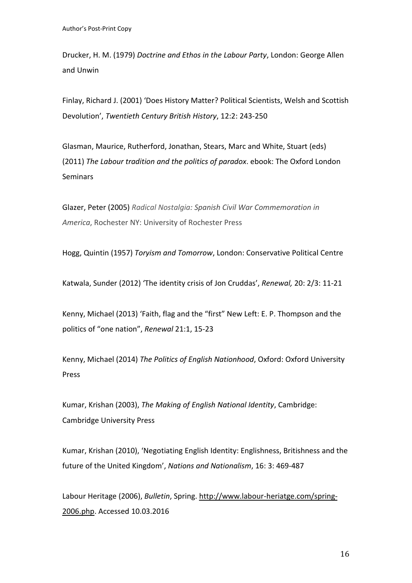Drucker, H. M. (1979) *Doctrine and Ethos in the Labour Party*, London: George Allen and Unwin

Finlay, Richard J. (2001) 'Does History Matter? Political Scientists, Welsh and Scottish Devolution', *Twentieth Century British History*, 12:2: 243-250

Glasman, Maurice, Rutherford, Jonathan, Stears, Marc and White, Stuart (eds) (2011) *The Labour tradition and the politics of paradox*. ebook: The Oxford London Seminars

Glazer, Peter (2005) *Radical Nostalgia: Spanish Civil War Commemoration in America*, Rochester NY: University of Rochester Press

Hogg, Quintin (1957) *Toryism and Tomorrow*, London: Conservative Political Centre

Katwala, Sunder (2012) 'The identity crisis of Jon Cruddas', *Renewal,* 20: 2/3: 11-21

Kenny, Michael (2013) 'Faith, flag and the "first" New Left: E. P. Thompson and the politics of "one nation", *Renewal* 21:1, 15-23

Kenny, Michael (2014) *The Politics of English Nationhood*, Oxford: Oxford University Press

Kumar, Krishan (2003), *The Making of English National Identity*, Cambridge: Cambridge University Press

Kumar, Krishan (2010), 'Negotiating English Identity: Englishness, Britishness and the future of the United Kingdom', *Nations and Nationalism*, 16: 3: 469-487

Labour Heritage (2006), *Bulletin*, Spring. [http://www.labour-heriatge.com/spring-](http://www.labour-heriatge.com/spring-2006.php)[2006.php.](http://www.labour-heriatge.com/spring-2006.php) Accessed 10.03.2016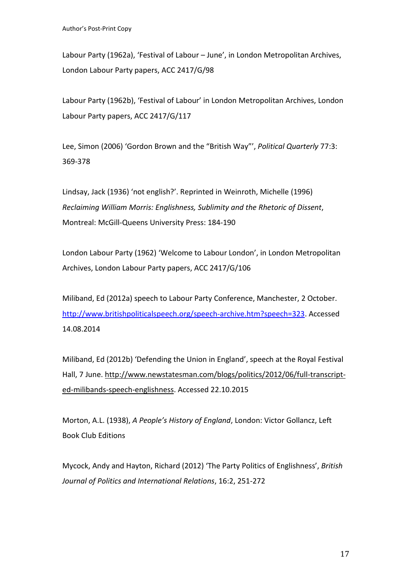Labour Party (1962a), 'Festival of Labour – June', in London Metropolitan Archives, London Labour Party papers, ACC 2417/G/98

Labour Party (1962b), 'Festival of Labour' in London Metropolitan Archives, London Labour Party papers, ACC 2417/G/117

Lee, Simon (2006) 'Gordon Brown and the "British Way"', *Political Quarterly* 77:3: 369-378

Lindsay, Jack (1936) 'not english?'. Reprinted in Weinroth, Michelle (1996) *Reclaiming William Morris: Englishness, Sublimity and the Rhetoric of Dissent*, Montreal: McGill-Queens University Press: 184-190

London Labour Party (1962) 'Welcome to Labour London', in London Metropolitan Archives, London Labour Party papers, ACC 2417/G/106

Miliband, Ed (2012a) speech to Labour Party Conference, Manchester, 2 October. [http://www.britishpoliticalspeech.org/speech-archive.htm?speech=323.](http://www.britishpoliticalspeech.org/speech-archive.htm?speech=323) Accessed 14.08.2014

Miliband, Ed (2012b) 'Defending the Union in England', speech at the Royal Festival Hall, 7 June. [http://www.newstatesman.com/blogs/politics/2012/06/full-transcript](http://www.newstatesman.com/blogs/politics/2012/06/full-transcript-ed-milibands-speech-englishness)[ed-milibands-speech-englishness.](http://www.newstatesman.com/blogs/politics/2012/06/full-transcript-ed-milibands-speech-englishness) Accessed 22.10.2015

Morton, A.L. (1938), *A People's History of England*, London: Victor Gollancz, Left Book Club Editions

Mycock, Andy and Hayton, Richard (2012) 'The Party Politics of Englishness', *British Journal of Politics and International Relations*, 16:2, 251-272